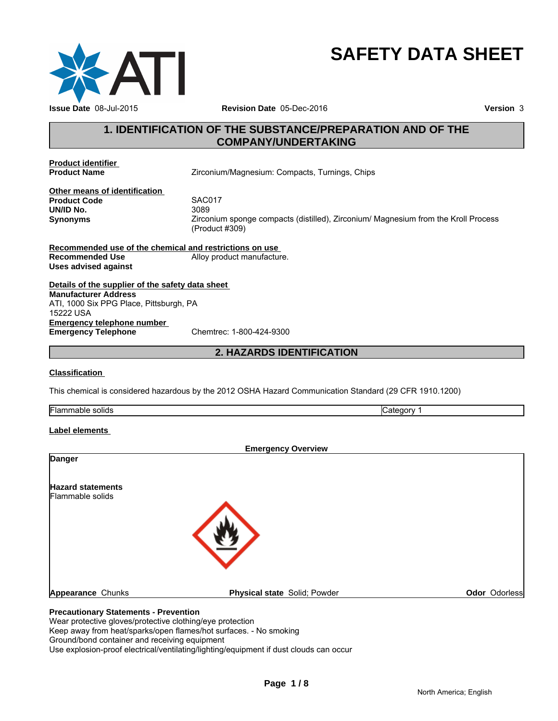

# **SAFETY DATA SHEET**

# **1. IDENTIFICATION OF THE SUBSTANCE/PREPARATION AND OF THE COMPANY/UNDERTAKING**

**Product identifier** 

Zirconium/Magnesium: Compacts, Turnings, Chips

**Other means of identification Product Code** SACON<br> **UN/ID No.** 3089 **UN/ID No.**<br>Synonyms

**Synonyms** Zirconium sponge compacts (distilled), Zirconium/ Magnesium from the Kroll Process (Product #309)

**Recommended use of the chemical and restrictions on use Recommended Use** Alloy product manufacture. **Uses advised against**

**Details of the supplier of the safety data sheet Emergency telephone number<br>
Emergency Telephone**<br>
Chemtrec: 1-800-424-9300 **Emergency Telephone Manufacturer Address** ATI, 1000 Six PPG Place, Pittsburgh, PA 15222 USA

### **2. HAZARDS IDENTIFICATION**

#### **Classification**

This chemical is considered hazardous by the 2012 OSHA Hazard Communication Standard (29 CFR 1910.1200)

Flammable solids Category 1

#### **Label elements**

| <b>Emergency Overview</b>    |               |
|------------------------------|---------------|
|                              |               |
|                              |               |
|                              |               |
| Physical state Solid; Powder | Odor Odorless |
|                              |               |

#### **Precautionary Statements - Prevention**

Wear protective gloves/protective clothing/eye protection

Keep away from heat/sparks/open flames/hot surfaces. - No smoking

Ground/bond container and receiving equipment

Use explosion-proof electrical/ventilating/lighting/equipment if dust clouds can occur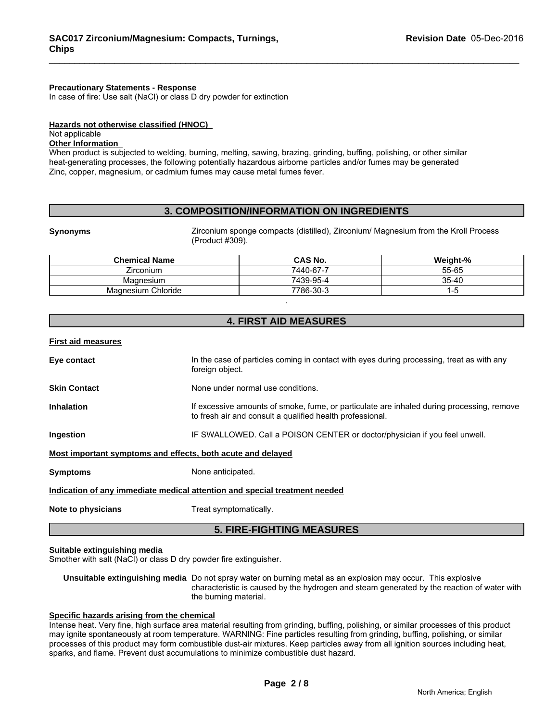#### **Precautionary Statements - Response**

In case of fire: Use salt (NaCl) or class D dry powder for extinction

#### **Hazards not otherwise classified (HNOC)**

#### Not applicable

#### **Other Information**

When product is subjected to welding, burning, melting, sawing, brazing, grinding, buffing, polishing, or other similar heat-generating processes, the following potentially hazardous airborne particles and/or fumes may be generated Zinc, copper, magnesium, or cadmium fumes may cause metal fumes fever.

### **3. COMPOSITION/INFORMATION ON INGREDIENTS**

**Synonyms Example 2** Zirconium sponge compacts (distilled), Zirconium/ Magnesium from the Kroll Process (Product #309).

| <b>Chemical Name</b>  | <b>CAS No.</b> | Weight-% |
|-----------------------|----------------|----------|
| Zirconium             | 7440-67-7      | 55-65    |
| Magnesium             | 7439-95-4      | 35-40    |
| Chloride<br>Magnesium | 7786-30-3      |          |

# **4. FIRST AID MEASURES**

.

**First aid measures**

| Note to physicians                                                         | Treat symptomatically.                                                                                                                                 |  |
|----------------------------------------------------------------------------|--------------------------------------------------------------------------------------------------------------------------------------------------------|--|
| Indication of any immediate medical attention and special treatment needed |                                                                                                                                                        |  |
| <b>Symptoms</b>                                                            | None anticipated.                                                                                                                                      |  |
| Most important symptoms and effects, both acute and delayed                |                                                                                                                                                        |  |
| Ingestion                                                                  | IF SWALLOWED. Call a POISON CENTER or doctor/physician if you feel unwell.                                                                             |  |
| <b>Inhalation</b>                                                          | If excessive amounts of smoke, fume, or particulate are inhaled during processing, remove<br>to fresh air and consult a qualified health professional. |  |
| <b>Skin Contact</b>                                                        | None under normal use conditions.                                                                                                                      |  |
| Eye contact                                                                | In the case of particles coming in contact with eyes during processing, treat as with any<br>foreign object.                                           |  |

#### **5. FIRE-FIGHTING MEASURES**

#### **Suitable extinguishing media**

Smother with salt (NaCl) or class D dry powder fire extinguisher.

**Unsuitable extinguishing media** Do not spray water on burning metal as an explosion may occur. This explosive characteristic is caused by the hydrogen and steam generated by the reaction of water with the burning material.

#### **Specific hazards arising from the chemical**

Intense heat. Very fine, high surface area material resulting from grinding, buffing, polishing, or similar processes of this product may ignite spontaneously at room temperature. WARNING: Fine particles resulting from grinding, buffing, polishing, or similar processes of this product may form combustible dust-air mixtures. Keep particles away from all ignition sources including heat, sparks, and flame. Prevent dust accumulations to minimize combustible dust hazard.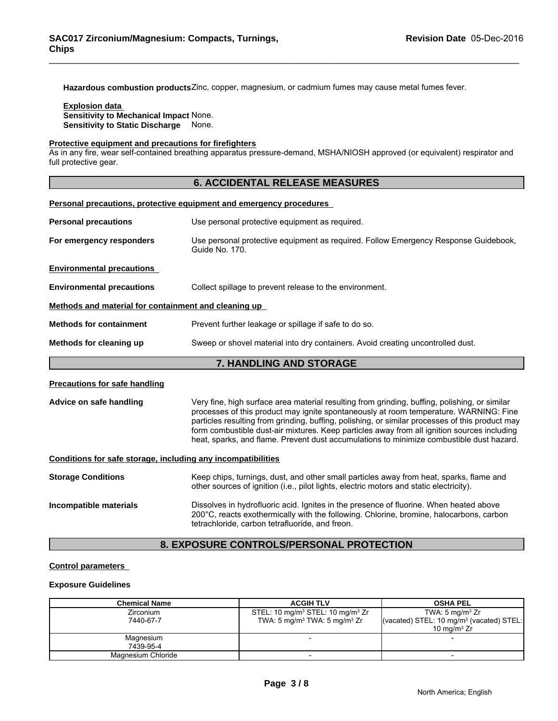**Hazardous combustion products**Zinc, copper, magnesium, or cadmium fumes may cause metal fumes fever.

#### **Explosion data Sensitivity to Mechanical Impact** None.

**Sensitivity to Static Discharge** None.

#### **Protective equipment and precautions for firefighters**

**Personal precautions, protective equipment and emergency procedures** 

As in any fire, wear self-contained breathing apparatus pressure-demand, MSHA/NIOSH approved (or equivalent) respirator and full protective gear.

#### **6. ACCIDENTAL RELEASE MEASURES**

| <b>Personal precautions</b>                          | Use personal protective equipment as required.                                                        |  |  |
|------------------------------------------------------|-------------------------------------------------------------------------------------------------------|--|--|
| For emergency responders                             | Use personal protective equipment as required. Follow Emergency Response Guidebook,<br>Guide No. 170. |  |  |
| <b>Environmental precautions</b>                     |                                                                                                       |  |  |
| <b>Environmental precautions</b>                     | Collect spillage to prevent release to the environment.                                               |  |  |
| Methods and material for containment and cleaning up |                                                                                                       |  |  |
| <b>Methods for containment</b>                       | Prevent further leakage or spillage if safe to do so.                                                 |  |  |
| Methods for cleaning up                              | Sweep or shovel material into dry containers. Avoid creating uncontrolled dust.                       |  |  |
|                                                      | 7. HANDLING AND STORAGE                                                                               |  |  |
| <b>Precautions for safe handling</b>                 |                                                                                                       |  |  |

**Advice on safe handling** Very fine, high surface area material resulting from grinding, buffing, polishing, or similar processes of this product may ignite spontaneously at room temperature. WARNING: Fine particles resulting from grinding, buffing, polishing, or similar processes of this product may form combustible dust-air mixtures. Keep particles away from all ignition sources including heat, sparks, and flame. Prevent dust accumulations to minimize combustible dust hazard.

#### **Conditions for safe storage, including any incompatibilities**

| <b>Storage Conditions</b> | Keep chips, turnings, dust, and other small particles away from heat, sparks, flame and<br>other sources of ignition (i.e., pilot lights, electric motors and static electricity).                                                   |
|---------------------------|--------------------------------------------------------------------------------------------------------------------------------------------------------------------------------------------------------------------------------------|
| Incompatible materials    | Dissolves in hydrofluoric acid. Ignites in the presence of fluorine. When heated above<br>200°C, reacts exothermically with the following. Chlorine, bromine, halocarbons, carbon<br>tetrachloride, carbon tetrafluoride, and freon. |

# **8. EXPOSURE CONTROLS/PERSONAL PROTECTION**

#### **Control parameters**

#### **Exposure Guidelines**

| <b>Chemical Name</b> | <b>ACGIH TLV</b>                                         | <b>OSHA PEL</b>                                      |
|----------------------|----------------------------------------------------------|------------------------------------------------------|
| <b>Zirconium</b>     | STEL: 10 mg/m <sup>3</sup> STEL: 10 mg/m <sup>3</sup> Zr | TWA: $5 \text{ mg/m}^3$ Zr                           |
| 7440-67-7            | TWA: $5 \text{ mg/m}^3$ TWA: $5 \text{ mg/m}^3$ Zr       | (vacated) STEL: 10 mg/m <sup>3</sup> (vacated) STEL: |
|                      |                                                          | 10 mg/m $3 Zr$                                       |
| Magnesium            |                                                          |                                                      |
| 7439-95-4            |                                                          |                                                      |
| Magnesium Chloride   |                                                          |                                                      |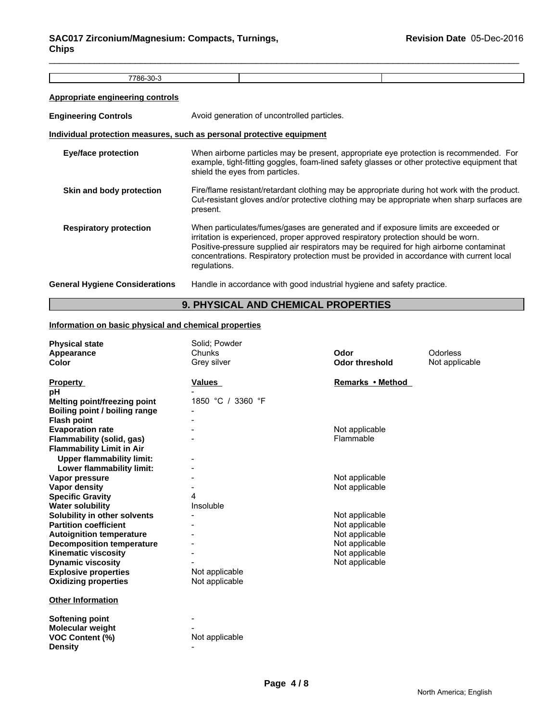7786-30-3

### **Appropriate engineering controls**

| <b>Engineering Controls</b>           | Avoid generation of uncontrolled particles.                                                                                                                                                                                                                                                                                                                                    |
|---------------------------------------|--------------------------------------------------------------------------------------------------------------------------------------------------------------------------------------------------------------------------------------------------------------------------------------------------------------------------------------------------------------------------------|
|                                       | Individual protection measures, such as personal protective equipment                                                                                                                                                                                                                                                                                                          |
| <b>Eye/face protection</b>            | When airborne particles may be present, appropriate eye protection is recommended. For<br>example, tight-fitting goggles, foam-lined safety glasses or other protective equipment that<br>shield the eyes from particles.                                                                                                                                                      |
| Skin and body protection              | Fire/flame resistant/retardant clothing may be appropriate during hot work with the product.<br>Cut-resistant gloves and/or protective clothing may be appropriate when sharp surfaces are<br>present.                                                                                                                                                                         |
| <b>Respiratory protection</b>         | When particulates/fumes/gases are generated and if exposure limits are exceeded or<br>irritation is experienced, proper approved respiratory protection should be worn.<br>Positive-pressure supplied air respirators may be required for high airborne contaminat<br>concentrations. Respiratory protection must be provided in accordance with current local<br>regulations. |
| <b>General Hygiene Considerations</b> | Handle in accordance with good industrial hygiene and safety practice.                                                                                                                                                                                                                                                                                                         |

# **9. PHYSICAL AND CHEMICAL PROPERTIES**

#### **Information on basic physical and chemical properties**

| <b>Physical state</b>            | Solid; Powder     |                       |                |
|----------------------------------|-------------------|-----------------------|----------------|
| Appearance                       | Chunks            | Odor                  | Odorless       |
| <b>Color</b>                     | Grey silver       | <b>Odor threshold</b> | Not applicable |
| <b>Property</b>                  | <b>Values</b>     | Remarks • Method      |                |
| рH                               |                   |                       |                |
| Melting point/freezing point     | 1850 °C / 3360 °F |                       |                |
| Boiling point / boiling range    |                   |                       |                |
| <b>Flash point</b>               |                   |                       |                |
| <b>Evaporation rate</b>          |                   | Not applicable        |                |
| Flammability (solid, gas)        |                   | Flammable             |                |
| <b>Flammability Limit in Air</b> |                   |                       |                |
| <b>Upper flammability limit:</b> |                   |                       |                |
| Lower flammability limit:        |                   |                       |                |
| Vapor pressure                   |                   | Not applicable        |                |
| <b>Vapor density</b>             |                   | Not applicable        |                |
| <b>Specific Gravity</b>          | 4                 |                       |                |
| <b>Water solubility</b>          | Insoluble         |                       |                |
| Solubility in other solvents     |                   | Not applicable        |                |
| <b>Partition coefficient</b>     |                   | Not applicable        |                |
| <b>Autoignition temperature</b>  |                   | Not applicable        |                |
| <b>Decomposition temperature</b> |                   | Not applicable        |                |
| <b>Kinematic viscosity</b>       |                   | Not applicable        |                |
| <b>Dynamic viscosity</b>         |                   | Not applicable        |                |
| <b>Explosive properties</b>      | Not applicable    |                       |                |
| <b>Oxidizing properties</b>      | Not applicable    |                       |                |
| <b>Other Information</b>         |                   |                       |                |
|                                  |                   |                       |                |
| <b>Softening point</b>           |                   |                       |                |
| Molecular weight                 |                   |                       |                |
| <b>VOC Content (%)</b>           | Not applicable    |                       |                |
| <b>Density</b>                   |                   |                       |                |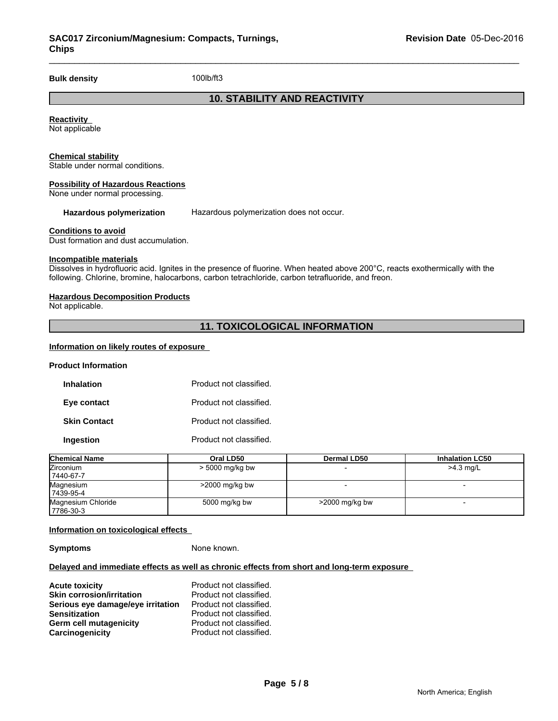**Bulk density** 100lb/ft3

# **10. STABILITY AND REACTIVITY**

**Reactivity**  Not applicable

#### **Chemical stability**

Stable under normal conditions.

#### **Possibility of Hazardous Reactions**

None under normal processing.

**Hazardous polymerization** Hazardous polymerization does not occur.

#### **Conditions to avoid**

Dust formation and dust accumulation.

#### **Incompatible materials**

Dissolves in hydrofluoric acid. Ignites in the presence of fluorine. When heated above 200°C, reacts exothermically with the following. Chlorine, bromine, halocarbons, carbon tetrachloride, carbon tetrafluoride, and freon.

#### **Hazardous Decomposition Products**

Not applicable.

#### **11. TOXICOLOGICAL INFORMATION**

#### **Information on likely routes of exposure**

#### **Product Information**

| <b>Inhalation</b>   | Product not classified. |
|---------------------|-------------------------|
| Eye contact         | Product not classified. |
| <b>Skin Contact</b> | Product not classified. |
| Ingestion           | Product not classified. |

| <b>Chemical Name</b> | Oral LD50         | Dermal LD50       | <b>Inhalation LC50</b> |
|----------------------|-------------------|-------------------|------------------------|
| Zirconium            | > 5000 mg/kg bw   |                   | $>4.3$ mg/L            |
| 7440-67-7            |                   |                   |                        |
| Magnesium            | $>$ 2000 mg/kg bw |                   |                        |
| 7439-95-4            |                   |                   |                        |
| Magnesium Chloride   | 5000 mg/kg bw     | $>$ 2000 mg/kg bw |                        |
| 17786-30-3           |                   |                   |                        |

#### **Information on toxicological effects**

**Symptoms** None known.

#### **Delayed and immediate effects as well as chronic effects from short and long-term exposure**

**Acute toxicity**<br> **Acute toxicity**<br> **Axin corrosion/irritation**<br> **Product not classified. Skin corrosion/irritation**<br>**Serious eve damage/eve irritation** Product not classified. **Serious eye damage/eye irritation<br>Sensitization Product not classified. Germ cell mutagenicity example 3 and Product not classified.**<br> **Carcinogenicity** Product not classified. Product not classified.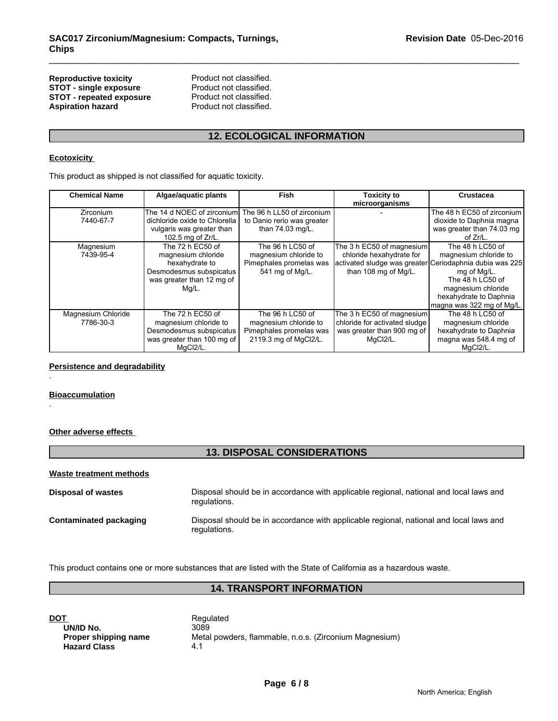# **Reproductive toxicity enduct not classified.**<br> **STOT - single exposure** Product not classified. **STOT - single exposure** Product not classified.<br> **STOT - repeated exposure** Product not classified. **STOT - repeated exposure<br>Aspiration hazard**

Product not classified.

# **12. ECOLOGICAL INFORMATION**

#### **Ecotoxicity**

| NGPI UWWUNG WAIGHT<br><b>STOT - single exposure</b><br><b>STOT - repeated exposure</b><br><b>Aspiration hazard</b> | Product not classified.<br>Product not classified.<br>Product not classified.                                             |                                                                                               |                                                                                                                                          |                                                                                                                                                           |
|--------------------------------------------------------------------------------------------------------------------|---------------------------------------------------------------------------------------------------------------------------|-----------------------------------------------------------------------------------------------|------------------------------------------------------------------------------------------------------------------------------------------|-----------------------------------------------------------------------------------------------------------------------------------------------------------|
| <b>12. ECOLOGICAL INFORMATION</b>                                                                                  |                                                                                                                           |                                                                                               |                                                                                                                                          |                                                                                                                                                           |
| <b>Ecotoxicity</b>                                                                                                 |                                                                                                                           |                                                                                               |                                                                                                                                          |                                                                                                                                                           |
|                                                                                                                    | This product as shipped is not classified for aquatic toxicity.                                                           |                                                                                               |                                                                                                                                          |                                                                                                                                                           |
| <b>Chemical Name</b>                                                                                               | Algae/aquatic plants                                                                                                      | Fish                                                                                          | <b>Toxicity to</b><br>microorganisms                                                                                                     | Crustacea                                                                                                                                                 |
| Zirconium<br>7440-67-7                                                                                             | The 14 d NOEC of zirconium<br>dichloride oxide to Chlorella<br>vulgaris was greater than<br>102.5 mg of Zr/L.             | The 96 h LL50 of zirconium<br>to Danio rerio was greater<br>than 74.03 mg/L.                  |                                                                                                                                          | The 48 h EC50 of zirconium<br>dioxide to Daphnia magna<br>was greater than 74.03 mg<br>of Zr/L.                                                           |
| Magnesium<br>7439-95-4                                                                                             | The 72 h EC50 of<br>magnesium chloride<br>hexahydrate to<br>Desmodesmus subspicatus<br>was greater than 12 mg of<br>Mg/L. | The 96 h LC50 of<br>magnesium chloride to<br>Pimephales promelas was<br>541 mg of Mg/L.       | The 3 h EC50 of magnesium<br>chloride hexahydrate for<br>activated sludge was greater Ceriodaphnia dubia was 225<br>than 108 mg of Mg/L. | The 48 h LC50 of<br>magnesium chloride to<br>mg of Mg/L.<br>The 48 h LC50 of<br>magnesium chloride<br>hexahydrate to Daphnia<br>magna was 322 mg of Mg/L. |
| Magnesium Chloride<br>7786-30-3                                                                                    | The 72 h EC50 of<br>magnesium chloride to<br>Desmodesmus subspicatus<br>was greater than 100 mg of<br>MqCl2/L.            | The 96 h LC50 of<br>magnesium chloride to<br>Pimephales promelas was<br>2119.3 mg of MgCl2/L. | The 3 h EC50 of magnesium<br>chloride for activated sludge<br>was greater than 900 mg of<br>MgCl2/L.                                     | The 48 h LC50 of<br>magnesium chloride<br>hexahydrate to Daphnia<br>magna was 548.4 mg of<br>MqCl2/L.                                                     |

#### **Persistence and degradability**

#### **Bioaccumulation**

.

.

#### **Other adverse effects**

# **13. DISPOSAL CONSIDERATIONS**

#### **Waste treatment methods**

| <b>Disposal of wastes</b>     | Disposal should be in accordance with applicable regional, national and local laws and<br>regulations. |
|-------------------------------|--------------------------------------------------------------------------------------------------------|
| <b>Contaminated packaging</b> | Disposal should be in accordance with applicable regional, national and local laws and<br>regulations. |

This product contains one or more substances that are listed with the State of California as a hazardous waste.

# **14. TRANSPORT INFORMATION**

**DOT**<br> **DOT**<br> **DIVID No.**<br> **Regulated**<br> **Regulated UN/ID No.**<br>Proper shipping name **Hazard Class** 

Metal powders, flammable, n.o.s. (Zirconium Magnesium)<br>4.1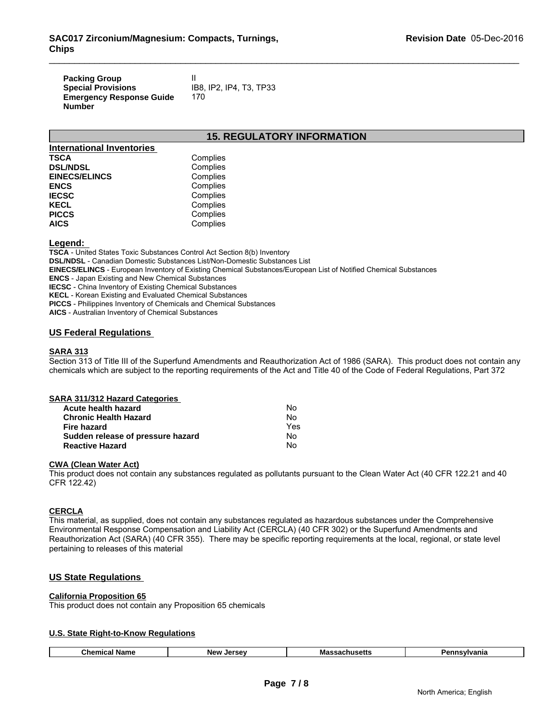| <b>Packing Group</b>            |                         |
|---------------------------------|-------------------------|
| <b>Special Provisions</b>       | IB8. IP2. IP4. T3. TP33 |
| <b>Emergency Response Guide</b> | 170                     |
| <b>Number</b>                   |                         |

#### **15. REGULATORY INFORMATION**

| <b>International Inventories</b> |          |
|----------------------------------|----------|
| <b>TSCA</b>                      | Complies |
| <b>DSL/NDSL</b>                  | Complies |
| <b>EINECS/ELINCS</b>             | Complies |
| <b>ENCS</b>                      | Complies |
| <b>IECSC</b>                     | Complies |
| <b>KECL</b>                      | Complies |
| <b>PICCS</b>                     | Complies |
| <b>AICS</b>                      | Complies |

#### **Legend:**

**TSCA** - United States Toxic Substances Control Act Section 8(b) Inventory **DSL/NDSL** - Canadian Domestic Substances List/Non-Domestic Substances List **EINECS/ELINCS** - European Inventory of Existing Chemical Substances/European List of Notified Chemical Substances **ENCS** - Japan Existing and New Chemical Substances **IECSC** - China Inventory of Existing Chemical Substances **KECL** - Korean Existing and Evaluated Chemical Substances **PICCS** - Philippines Inventory of Chemicals and Chemical Substances **AICS** - Australian Inventory of Chemical Substances

#### **US Federal Regulations**

### **SARA 313**

Section 313 of Title III of the Superfund Amendments and Reauthorization Act of 1986 (SARA). This product does not contain any chemicals which are subject to the reporting requirements of the Act and Title 40 of the Code of Federal Regulations, Part 372

| SARA 311/312 Hazard Categories    |     |  |
|-----------------------------------|-----|--|
| Acute health hazard               | N٥  |  |
| <b>Chronic Health Hazard</b>      | No  |  |
| Fire hazard                       | Yes |  |
| Sudden release of pressure hazard | No  |  |
| <b>Reactive Hazard</b>            | No  |  |

#### **CWA (Clean Water Act)**

This product does not contain any substances regulated as pollutants pursuant to the Clean Water Act (40 CFR 122.21 and 40 CFR 122.42)

#### **CERCLA**

This material, as supplied, does not contain any substances regulated as hazardous substances under the Comprehensive Environmental Response Compensation and Liability Act (CERCLA) (40 CFR 302) or the Superfund Amendments and Reauthorization Act (SARA) (40 CFR 355). There may be specific reporting requirements at the local, regional, or state level pertaining to releases of this material

#### **US State Regulations**

#### **California Proposition 65**

This product does not contain any Proposition 65 chemicals

#### **U.S. State Right-to-Know Regulations**

| Chemical<br>Massachusetts<br>Name<br>nnsvivania<br>I<br><b>New</b><br>ימם<br> |
|-------------------------------------------------------------------------------|
|-------------------------------------------------------------------------------|